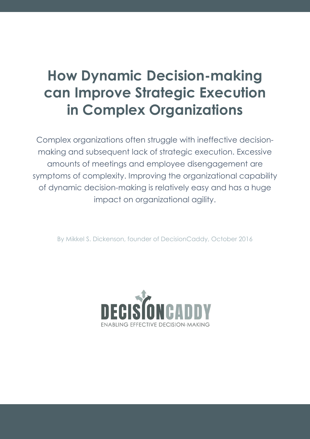# **How Dynamic Decision-making can Improve Strategic Execution in Complex Organizations**

Complex organizations often struggle with ineffective decisionmaking and subsequent lack of strategic execution. Excessive amounts of meetings and employee disengagement are symptoms of complexity. Improving the organizational capability of dynamic decision-making is relatively easy and has a huge impact on organizational agility.

By Mikkel S. Dickenson, founder of DecisionCaddy, October 2016

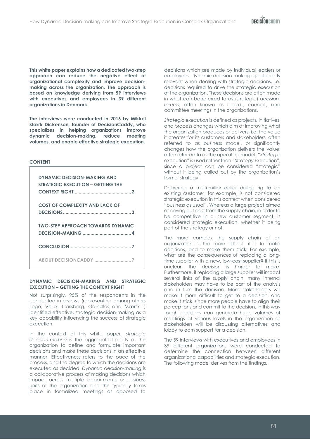**DECISONCADOV** 

**This white paper explains how a dedicated two-step approach can reduce the negative effect of organizational complexity and improve decisionmaking across the organization. The approach is based on knowledge deriving from 59 interviews with executives and employees in 39 different organizations in Denmark.** 

**The interviews were conducted in 2016 by Mikkel Stærk Dickenson, founder of DecisionCaddy, who specializes in helping organizations improve dynamic decision-making, reduce meeting volumes, and enable effective strategic execution.** 

#### **CONTENT**

| <b>DYNAMIC DECISION-MAKING AND</b><br>STRATEGIC EXECUTION - GETTING THE |
|-------------------------------------------------------------------------|
| <b>COST OF COMPLEXITY AND LACK OF</b>                                   |
| <b>TWO-STEP APPROACH TOWARDS DYNAMIC</b>                                |
|                                                                         |
|                                                                         |

#### <span id="page-1-0"></span>**DYNAMIC DECISION-MAKING AND STRATEGIC EXECUTION – GETTING THE CONTEXT RIGHT**

Not surprisingly, 95% of the respondents in the conducted interviews (representing among others Lego, Velux, Carlsberg, Grundfos and Mærsk<sup>1</sup>) identified effective, strategic decision-making as a key capability influencing the success of strategic execution.

In the context of this white paper*, strategic decision-making* is the aggregated ability of the organization to define and formulate important decisions and make these decisions in an effective manner. Effectiveness refers to the pace of the process, and the degree to which the decisions are executed as decided. *Dynamic decision-making* is a collaborative process of making decisions which impact across multiple departments or business units of the organization and this typically takes place in formalized meetings as opposed to

decisions which are made by individual leaders or employees. Dynamic decision-making is particularly relevant when dealing with strategic decisions, i.e. decisions required to drive the strategic execution of the organization. These decisions are often made in what can be referred to as (strategic) *decisionforums*, often known as board-, council-, and committee meetings in the organizations.

*Strategic execution* is defined as projects*,* initiatives, and process changes which aim at improving what the organization produces or delivers, i.e. the value it creates for its customers and stakeholders, often referred to as business model, or significantly changes how the organization delivers the value, often referred to as the operating model. *"Strategic*  execution*"* is used rather than *"Strategy* Execution", since a project can be considered "strategic" without it being called out by the organization's formal strategy.

Delivering a multi-million-dollar drilling rig to an existing customer, for example, is not considered strategic execution in this context when considered "business as usual". Whereas a large project aimed at driving out cost from the supply chain, in order to be competitive in a new customer segment, is considered strategic execution, whether it being part of the strategy or not.

The more complex the supply chain of an organization is, the more difficult it is to make decisions, and to make them stick. For example, what are the consequences of replacing a longtime supplier with a new, low-cost supplier? If this is unclear, the decision is harder to make. Furthermore, if replacing a large supplier will impact several links of the supply chain, many internal stakeholders may have to be part of the analysis and in turn the decision. More stakeholders will make it more difficult to get to a decision, and make it stick, since more people have to align their perceptions and commit to the decision. In this way tough decisions can generate huge volumes of meetings at various levels in the organization as stakeholders will be discussing alternatives and lobby to earn support for a decision.

The 59 interviews with executives and employees in 39 different organizations were conducted to determine the connection between different organizational capabilities and strategic execution. The following model derives from the findings.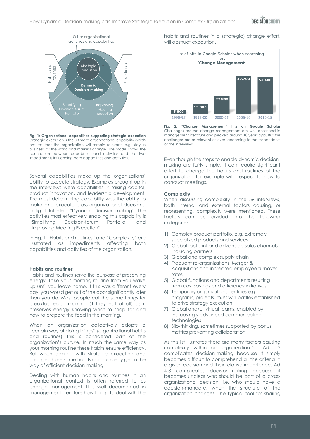

<span id="page-2-0"></span>**Fig. 1: Organizational capabilities supporting strategic execution** Strategic execution is the ultimate organizational capability which ensures that the organization will remain relevant, e.g. stay in business, as the world and markets change. The model shows the connection between capabilities and activities and the two impediments influencing both capabilities and activities.

Several capabilities make up the organizations' ability to execute strategy. Examples brought up in the interviews were capabilities in raising capital, product innovation, and leadership development. The most determining capability was the ability to make and execute cross-organizational decisions, in fig. 1 labelled "Dynamic Decision-making". The activities most effectively enabling this capability is "Simplifying Decision-forum Portfolio" and "Improving Meeting Execution".

I[n Fig.](#page-2-0) 1 "Habits and routines" and "Complexity" are illustrated as impediments affecting both capabilities and activities of the organization.

#### **Habits and routines**

Habits and routines serve the purpose of preserving energy. Take your morning routine from you wake up until you leave home. If this was different every day, you would get out of the door significantly later than you do. Most people eat the same things for breakfast each morning (if they eat at all) as it preserves energy knowing what to shop for and how to prepare the food in the morning.

When an organization collectively adopts a "certain way of doing things" (organizational habits and routines) this is considered part of the organization's culture. In much the same way as your morning routine these habits ensure efficiency. But when dealing with strategic execution and change, those same habits can suddenly get in the way of efficient decision-making.

Dealing with human habits and routines in an organizational context is often referred to as change management. It is well documented in management literature how failing to deal with the

habits and routines in a (strategic) change effort, will obstruct execution.



**Fig. 2: "Change Management" hits on Google Scholar**  Challenges around change management are well described in management literature and peaked around 10 years ago. But the challenges are as relevant as ever, according to the respondents of the interviews.

Even though the steps to enable dynamic decisionmaking are fairly simple, it can require significant effort to change the habits and routines of the organization, for example with respect to how to conduct meetings.

#### **Complexity**

When discussing complexity in the 59 interviews, both internal and external factors causing, or representing, complexity were mentioned. These factors can be divided into the following categories:

- 1) Complex product portfolio, e.g. extremely specialized products and services
- 2) Global footprint and advanced sales channels including partners
- 3) Global and complex supply chain
- 4) Frequent re-organizations, Merger & Acquisitions and increased employee turnover rates
- 5) Global functions and departments resulting from cost savings and efficiency initiatives
- 6) Temporary organizational entities e.g. programs, projects, must-win battles established to drive strategy execution
- 7) Global and/or virtual teams, enabled by increasingly advanced communication technologies
- 8) Silo-thinking, sometimes supported by bonus metrics preventing collaboration

As this list illustrates there are many factors causing complexity within an organization <sup>2</sup> . Ad 1-3 complicates decision-making because it simply becomes difficult to comprehend all the criteria in a given decision and their relative importance. Ad 4-8 complicates decision-making because it becomes unclear who should be part of a crossorganizational decision, i.e. who should have a decision-mandate, when the structure of the organization changes. The typical tool for sharing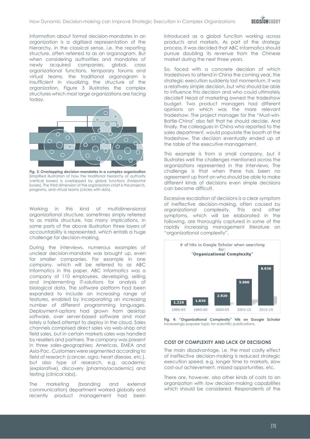

information about formal decision-mandates in an organization is a digitized representation of the hierarchy, in the classical sense, i.e. the reporting structure, often referred to as an organogram. But when considering authorities and mandates of newly acquired companies, global, cross organizational functions, temporary forums and virtual teams, the traditional organogram is insufficient in visualizing the structure of the organization. Figure 3 illustrates the complex structures which most large organizations are facing today.



**Fig. 3: Overlapping decision-mandates in a complex organization** Simplified illustration of how the traditional hierarchy of authority (vertical boxes) is overlapped by global functions (horizontal boxes). The third dimension of the organization chart is the projects, programs, and virtual teams (circles with dots).

Working in this kind of multidimensional organizational structure, sometimes simply referred to as matrix structure, has many implications. In some parts of the above illustration three layers of accountability is represented, which entails a huge challenge for decision-making.

During the interviews, numerous examples of unclear decision-mandate was brought up, even for smaller companies. For example in one company, which will be referred to as ABC Informatics in this paper. ABC Informatics was a company of 110 employees, developing, selling and implementing IT-solutions for analysis of biological data. The software platform had been expanded to include an increasing range of features, enabled by incorporating an increasing number of different programming languages. Deployment-options had grown from desktop software, over server-based software and most lately a failed attempt to deploy in the cloud. Sales channels comprised direct sales via web-shop and field sales, but in certain markets sales was handled by resellers and partners. The company was present in three sales-geographies; Americas, EMEA and Asia-Pac. Customers were segmented according to field of research (cancer, agro, heart disease, etc.), but also type of research, e.g. academic (explorative), discovery (pharma/academic) and testing (clinical labs).

The marketing (branding and external communication) department worked globally and recently product management had been introduced as a global function working across products and markets. As part of the strategy process, it was decided that ABC Informatics should pursue doubling its revenue from the Chinese market during the next three years.

So, faced with a concrete decision of which tradeshows to attend in China the coming year, the strategic execution suddenly lost momentum. It was a relatively simple decision, but who should be able to influence this decision and who could ultimately decide? Head of marketing owned the tradeshow budget. Two product managers had different opinions on which was the more relevant tradeshow. The project manager for the "Must-win-Battle-China" also felt that he should decide. And finally, the colleagues in China who reported to the sales department, would populate the booth at the tradeshow. The decision eventually ended up at the table of the executive management.

This example is from a small company, but it illustrates well the challenges mentioned across the organizations represented in the interviews. The challenge is that when there has been no agreement up front on who should be able to make different kinds of decisions even simple decisions can become difficult.

Excessive escalation of decisions is a clear symptom of ineffective decision-making, often caused by organizational complexity. This and other symptoms, which will be elaborated in the following, are thoroughly captured in some of the rapidly increasing management literature on "organizational complexity".



**Fig. 4: "Organizational Complexity" hits on Google Scholar** Increasingly popular topic for scientific publications.

### <span id="page-3-0"></span>**COST OF COMPLEXITY AND LACK OF DECISIONS**

The main disadvantage, i.e. the most costly effect of ineffective decision-making is reduced strategic execution speed, e.g. longer time to markets, slow cost-out achievement, missed opportunities, etc.

There are, however, also other kinds of costs to an organization with low decision-making capabilities which should be considered. Respondents of the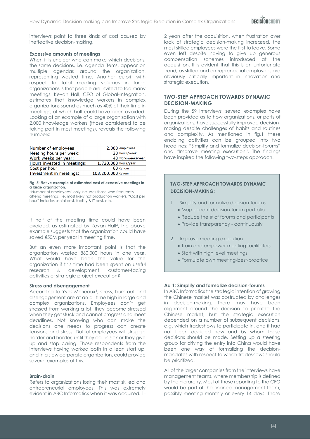interviews point to three kinds of cost caused by ineffective decision-making.

#### **Excessive amounts of meetings**

When it is unclear who can make which decisions, the same decisions, i.e. agenda items, appear on multiple agendas around the organization, representing wasted time. Another culprit with respect to total meeting volumes in large organizations is that people are invited to too many meetings. Kevan Hall, CEO of Global-Integration, estimates that knowledge workers in complex organizations spend as much as 40% of their time in meetings, of which half could have been avoided. Looking at an example of a large organization with 2,000 knowledge workers (those considered to be taking part in most meetings), reveals the following numbers:

| Number of employees:        |                      | 2.000 employees     |
|-----------------------------|----------------------|---------------------|
| Meeting hours per week:     |                      | 20 hours/week       |
| Work weeks per year:        |                      | 43 work-weeks/year  |
| Hours invested in meetings: | 1.720.000 hours/year |                     |
| Cost per hour:              |                      | 60 $\epsilon$ /hour |
| Investment in meetings:     | 103.200.000 €/year   |                     |

#### <span id="page-4-1"></span>**Fig. 5: Fictive example of estimated cost of excessive meetings in a large organization.**

"Number of employees" only includes those who frequently attend meetings, i.e. most likely not production workers. "Cost per hour" includes social cost, facility & IT cost, etc.

If half of the meeting time could have been avoided, as estimated by Kevan Hall<sup>3</sup>, the above example suggests that the organization could have saved €50M per year in meeting time.

But an even more important point is that the organization wasted 860.000 hours in one year. What would have been the value for the organization if this time had been spent on useful research & development, customer-facing activities or strategic project execution?

#### **Stress and disengagement**

According to Yves Morieaux<sup>4</sup> , stress, burn-out and disengagement are at an all-time high in large and complex organizations. Employees don't get stressed from working a lot, they become stressed when they get stuck and cannot progress and meet deadlines. Not knowing who can make the decisions one needs to progress can create tensions and stress. Dutiful employees will struggle harder and harder, until they call in sick or they give up and stop caring. Those respondents from the interviews having worked both in a lean start up, and in a slow corporate organization, could provide several examples of this.

#### **Brain-drain**

Refers to organizations losing their most skilled and entrepreneurial employees. This was extremely evident in ABC Informatics when it was acquired. 1-

2 years after the acquisition, when frustration over lack of strategic decision-making increased, the most skilled employees were the first to leave. Some even left despite having to give up generous compensation schemes introduced at the acquisition. It is evident that this is an unfortunate trend, as skilled and entrepreneurial employees are obviously critically important in innovation and strategic execution.

## <span id="page-4-0"></span>**TWO-STEP APPROACH TOWARDS DYNAMIC DECISION-MAKING**

During the 59 interviews, several examples have been provided as to how organizations, or parts of organizations, have successfully improved decisionmaking despite challenges of habits and routines and complexity. As mentioned in fig.1 these enabling activities can be grouped into two headlines: "Simplify and formalize decision-forums" and "Improve meeting execution". The findings have inspired the following two-steps approach.

## **TWO-STEP APPROACH TOWARDS DYNAMIC DECISION-MAKING:**

- 1. Simplify and formalize decision-forums
	- Map current decision-forum portfolio
	- Reduce the # of forums and participants
	- Provide transparency continuously
- 2. Improve meeting execution
	- Train and empower meeting facilitators
	- Start with high level meetings
	- Formulate own meeting-best-practice

### **Ad 1: Simplify and formalize decision-forums**

In ABC Informatics the strategic intention of growing the Chinese market was obstructed by challenges in decision-making. There may have been alignment around the decision to prioritize the Chinese market, but the strategic execution depended on a number of subsequent decisions, e.g. which tradeshows to participate in, and it had not been decided how and by whom these decisions should be made. Setting up a steering group for driving the entry into China would have been one way of formalizing the decisionmandates with respect to which tradeshows should be prioritized.

All of the larger companies from the interviews have management teams, where membership is defined by the hierarchy. Most of those reporting to the CFO would be part of the finance management team, possibly meeting monthly or every 14 days. Those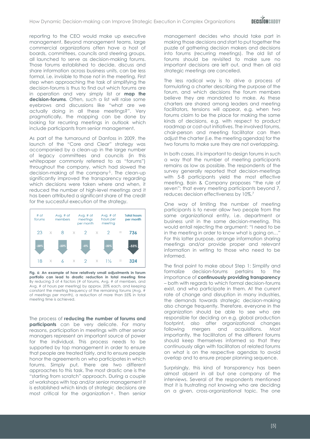reporting to the CEO would make up executive management. Beyond management teams, large commercial organizations often have a host of boards, committees, councils and steering groups, all launched to serve as decision-making forums. Those forums established to decide, discuss and share information across business units, can be less formal, i.e. invisible to those not in the meeting. First step when approaching the task of simplifying the decision-forums is thus to find out which forums are in operation and very simply list or **map the decision-forums**. Often, such a list will raise some eyebrows and discussions like "what are we actually doing in all these meetings?". Very pragmatically, the mapping can be done by looking for recurring meetings in outlook which include participants from senior management.

As part of the turnaround of Danfoss in 2009, the launch of the "Core and Clear" strategy was accompanied by a clean-up in the large number of legacy committees and councils (in this whitepaper commonly referred to as "forums") throughout the company, which had slowed the decision-making of the company<sup>5</sup>. The clean-up significantly improved the transparency regarding which decisions were taken where and when, it reduced the number of high-level meetings and it has been attributed a significant share of the credit for the successful execution of the strategy.



**Fig. 6: An example of how relatively small adjustments in forum portfolio can lead to drastic reduction in total meeting time** By reducing 3 of 4 factors (# of forums, Avg. # of members, and Avg. # of hours per meeting) by approx. 20% each, and keeping constant the meeting frequency of the remaining forums (Avg. # of meetings per month), a reduction of more than 55% in total meeting time is achieved.

The process of **reducing the number of forums and participants** can be very delicate. For many reasons, participation in meetings with other senior managers represent an important source of power for the individual. This process needs to be supported by top management in order to ensure that people are treated fairly, and to ensure people honor the agreements on who participates in which forums. Simply put, there are two different approaches to this task. The most drastic one is the "starting from scratch" approach. During a couple of workshops with top and/or senior management it is established which kinds of strategic decisions are most critical for the organization<sup>6</sup>. Then senior management decides who should take part in making those decisions and start to put together the puzzle of gathering decision makers and decisions into forums (recurring meetings). The old list of forums should be revisited to make sure no important decisions are left out, and then all old strategic meetings are cancelled.

The less radical way is to drive a process of formulating a charter describing the purpose of the forum, and which decisions the forum members believe they are mandated to make. As these charters are shared among leaders and meeting facilitators, tensions will appear, e.g. when two forums claim to be the place for making the same kinds of decisions, e.g. with respect to product roadmap or cost-out initiatives. The involved forums, chair-person and meeting facilitator can then adjust the charter (i.e. the meeting agendas) for the two forums to make sure they are not overlapping.

In both cases, it is important to design forums in such a way that the number of meeting participants remains as low as possible. The respondents of the survey generally reported that decision-meetings with 5-8 participants yield the most effective meeting. Bain & Company proposes "the rule of seven"; that every meeting participants beyond 7, reduces decision effectiveness by 10%.<sup>7</sup>

One way of limiting the number of meeting participants is to never allow two people from the same organizational entity, i.e. department or business unit in the same decision-meeting. This would entail rejecting the argument: "I need to be in the meeting in order to know what is going on…" For this latter purpose, arrange information sharing meetings and/or provide proper and relevant information in writing to those who need to be informed.

The final point to make about Step 1: Simplify and formalize decision-forums pertains to the importance of **continuously providing transparency** – both with regards to which formal decision-forums exist, and who participate in them. At the current rate of change and disruption in many industries, the demands towards strategic decision-making also change frequently. Therefore, everyone in the organization should be able to see who are responsible for deciding on e.g. global production footprint, also after organizational changes following mergers and acquisitions. Most importantly, the facilitators of the different forums should keep themselves informed so that they continuously align with facilitators of related forums on what is on the respective agendas to avoid overlap and to ensure proper planning sequence.

Surprisingly, this kind of transparency has been almost absent in all but one company of the interviews. Several of the respondents mentioned that it is frustrating not knowing who are deciding on a given, cross-organizational topic. The one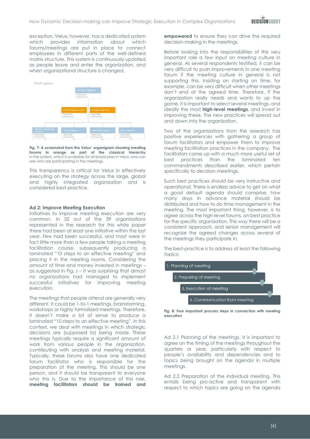exception, Velux, however, has a dedicated system which provides information about which forums/meetings are put in place to connect employees in different parts of the well-defined matrix structure. This system is continuously updated as people leave and enter the organization, and when organizational structure is changed.



**Fig. 7: A screenshot from the Velux' organigram showing meeting forums in orange as part of the classical hierarchy** In the system, which is available for all employees in Velux, one can see who are participating in the meetings.

This transparency is critical for Velux in effectively executing on the strategy across the large, global and highly integrated organization and is considered best-practice.

#### **Ad 2: Improve Meeting Execution**

Initiatives to improve meeting execution are very common. In 32 out of the 39 organizations represented in the research for this white paper there had been at least one initiative within the last year. Few had been successful, and most were in fact little more than a few people taking a meeting facilitation course, subsequently producing a laminated "10 steps to an effective meeting" and placing it in the meeting rooms. Considering the amount of time and money invested in meetings – as suggested in [Fig.](#page-4-1)  $5 -$  it was surprising that almost no organizations had managed to implement successful initiatives for improving meeting execution.

The meetings that people attend are generally very different. It could be 1-to-1 meetings, brainstorming, workshops or highly formalized meetings. Therefore, it doesn't make a lot of sense to produce a laminated "10 steps to an effective meeting". In this context, we deal with meetings in which strategic decisions are (supposed to) being made. These meetings typically require a significant amount of work from various people in the organization, contributing with analysis and meeting material. Typically, these forums also have one dedicated forum facilitator who is responsible for the preparation of the meeting. This should be one person, and it should be transparent to everyone who this is. Due to the importance of this role, **meeting facilitators should be trained and** 

**empowered** to ensure they can drive the required decision-making in the meetings.

Before looking into the responsibilities of this very important role a few input on meeting culture in general. As several respondents testified, it can be very difficult to push improvements in one meeting forum if the meeting culture in general is not supporting this. Insisting on starting on time, for example, can be very difficult when other meetings don't end at the agreed time. Therefore, if the organization really needs and wants to up the game, it is important to select several meetings, and ideally the most **high-level meetings**, and invest in improving these. The new practices will spread out and down into the organization.

Two of the organizations from the research has positive experiences with gathering a group of forum facilitators and empower them to improve meeting facilitation practices in the company. The facilitators came up with a much more useful set of best practices than the laminated ten commandments described earlier, which pertain specifically to decision-meetings.

Such best practices should be very instructive and operational. There is endless advice to get on what a good default agenda should comprise, how many days in advance material should be distributed and how to do time management in the meeting. The most important thing, however, is to agree across the high-level forums, on best practice for the specific organization. This way there will be a consistent approach, and senior management will recognize the agreed changes across several of the meetings they participate in.

The best-practice is to address at least the following topics:





Ad 2.1 Planning of the meetings. It is important to agree on the timing of the meetings throughout the quarters or year, particularly with respect to people's availability and dependencies and to topics being brought on the agenda in multiple meetings.

Ad 2.2 Preparation of the individual meeting. This entails being pro-active and transparent with respect to which topics are going on the agenda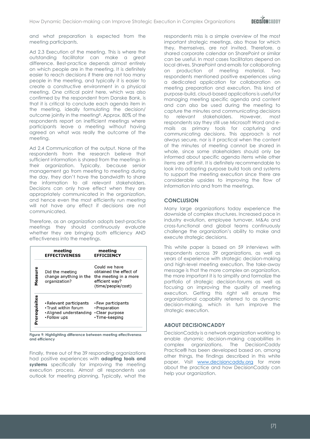and what preparation is expected from the meeting participants.

Ad 2.3 Execution of the meeting. This is where the outstanding facilitator can make a great difference. Best-practice depends almost entirely on which people are in the meeting. It is definitely easier to reach decisions if there are not too many people in the meeting, and typically it is easier to create a constructive environment in a physical meeting. One critical point here, which was also confirmed by the respondent from Danske Bank, is that it is critical to conclude each agenda item in the meeting, ideally formulating the decision/ outcome jointly in the meeting<sup>8</sup> . Approx. 80% of the respondents report on inefficient meetings where participants leave a meeting without having agreed on what was really the outcome of the meeting.

Ad 2.4 Communication of the output. None of the respondents from the research believe that sufficient information is shared from the meetings in their organization. Typically, because senior management go from meeting to meeting during the day, they don't have the bandwidth to share the information to all relevant stakeholders. Decisions can only have effect when they are appropriately communicated in the organization, and hence even the most efficiently run meeting will not have any effect if decisions are not communicated.

Therefore, as an organization adopts best-practice meetings they should continuously evaluate whether they are bringing *both* efficiency AND effectiveness into the meetings.



**Figure 9: Highlighting difference between meeting effectiveness and efficiency**

Finally, three out of the 39 responding organizations had positive experiences with **adopting tools and systems** specifically for improving the meeting execution process. Almost all respondents use outlook for meeting planning. Typically, what the

respondents miss is a simple overview of the most important strategic meetings, also those for which they, themselves, are not invited. Therefore, a shared corporate calendar on SharePoint or similar can be useful. In most cases facilitators depend on local drives, SharePoint and emails for collaborating on production of meeting material. Two respondents mentioned positive experiences using a dedicated application for collaboration on meeting preparation and execution. This kind of purpose-build, cloud-based applications is useful for managing meeting specific agenda and content and can also be used during the meeting to capture the minutes and communicating decisions to relevant stakeholders. However, most respondents say they still use Microsoft Word and emails as primary tools for capturing and communicating decisions. This approach is not always secure, nor is it practical when the content of the minutes of meeting cannot be shared in whole, since some stakeholders should only be informed about specific agenda items while other items are off limit. It is definitely recommendable to look into adopting purpose build tools and systems to support the meeting execution since there are considerable upsides to improving the flow of information into and from the meetings.

## <span id="page-7-0"></span>**CONCLUSION**

Many large organizations today experience the downside of complex structures. Increased pace in industry evolution, employee turnover, M&As and cross-functional and global teams continuously challenge the organization's ability to make and execute strategic decisions.

This white paper is based on 59 interviews with respondents across 39 organizations, as well as years of experience with strategic decision-making and high-level meeting execution. The take-away message is that the more complex an organization, the more important it is to simplify and formalize the portfolio of strategic decision-forums as well as focusing on improving the quality of meeting execution. Getting this right will ensure the organizational capability referred to as dynamic decision-making, which in turn improve the strategic execution.

## <span id="page-7-1"></span>**ABOUT DECISIONCADDY**

DecisionCaddy is a network organization working to enable dynamic decision-making capabilities in complex organizations. The DecisionCaddy Practice® has been developed based on, among other things, the findings described in this white paper. Visit [www.decisioncaddy.org](http://www.decisioncaddy.org/) for more about the practice and how DecisionCaddy can help your organization.